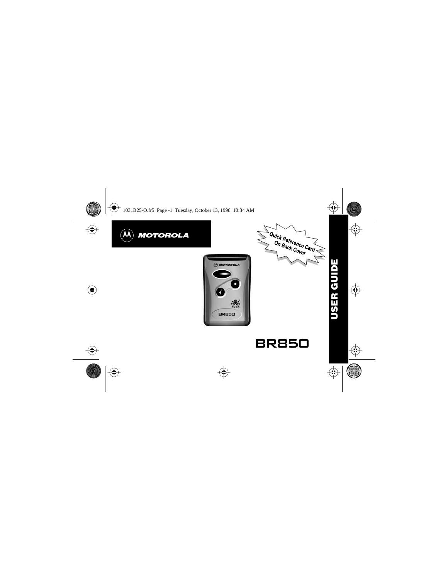





**USER GUIDE USER GUIDE**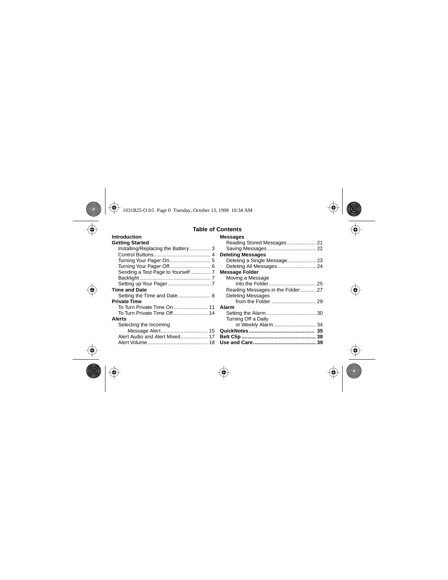#### **Table of Contents**

| Introduction                       | <b>Messages</b>                   |
|------------------------------------|-----------------------------------|
| <b>Getting Started</b>             |                                   |
| Installing/Replacing the Battery 3 |                                   |
|                                    | <b>Deleting Messages</b>          |
|                                    | Deleting a Single Message 23      |
|                                    | Deleting All Messages 24          |
|                                    | <b>Message Folder</b>             |
|                                    | Moving a Message                  |
|                                    |                                   |
| <b>Time and Date</b>               | Reading Messages in the Folder 27 |
|                                    | <b>Deleting Messages</b>          |
| <b>Private Time</b>                |                                   |
|                                    |                                   |
| To Turn Private Time Off 14        |                                   |
| <b>Alerts</b>                      | Turning Off a Daily               |
| Selecting the Incoming             | or Weekly Alarm 34                |
|                                    |                                   |
|                                    |                                   |
|                                    |                                   |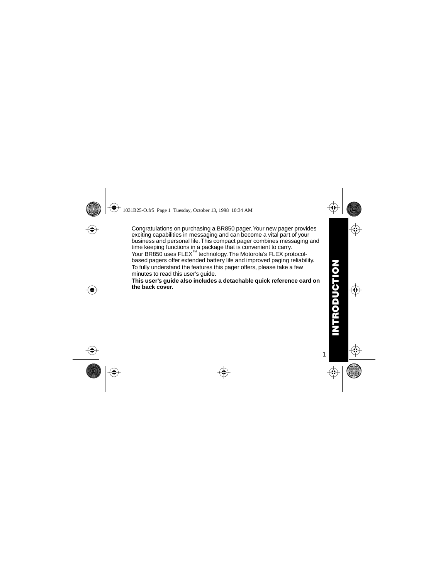<span id="page-2-0"></span>Congratulations on purchasing a BR850 pager. Your new pager provides exciting capabilities in messaging and can become a vital part of your business and personal life. This compact pager combines messaging and time keeping functions in a package that is convenient to carry. Your BR850 uses FLEX™ technology. The Motorola's FLEX protocolbased pagers offer extended battery life and improved paging reliability. To fully understand the features this pager offers, please take a few minutes to read this user's guide.

**This user's guide also includes a detachable quick reference card on the back cover.**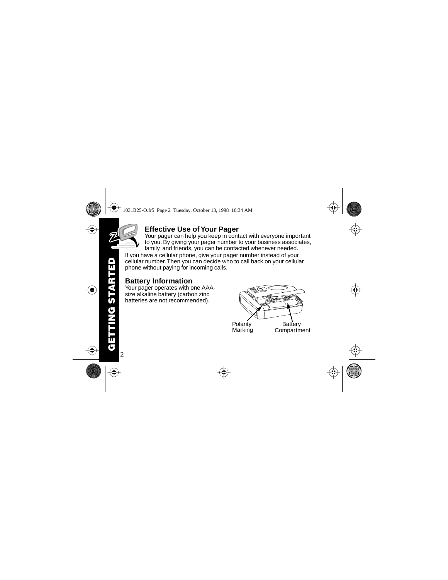2

# **Effective Use of Your Pager**

Your pager can help you keep in contact with everyone important to you. By giving your pager number to your business associates, family, and friends, you can be contacted whenever needed.

<span id="page-3-0"></span>If you have a cellular phone, give your pager number instead of your cellular number. Then you can decide who to call back on your cellular phone without paying for incoming calls.

# **Battery Information**

Your pager operates with one AAAsize alkaline battery (carbon zinc batteries are not recommended).

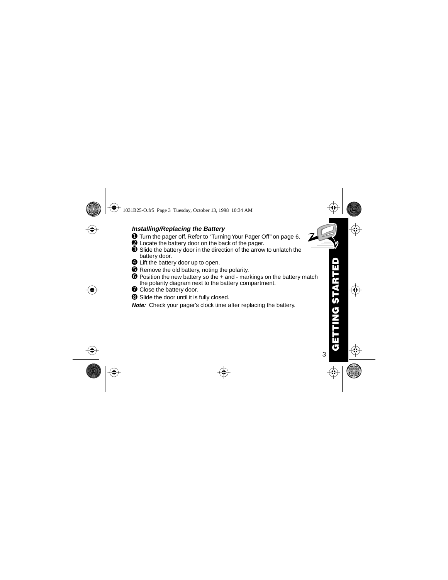#### <span id="page-4-0"></span>**Installing/Replacing the Battery**

- ➊ Turn the pager off. Refer to ["Turning Your Pager Off" on page 6](#page-7-0).
- ➋ Locate the battery door on the back of the pager.
- ➌ Slide the battery door in the direction of the arrow to unlatch the battery door.
- ➍ Lift the battery door up to open.
- ➎ Remove the old battery, noting the polarity.
- ➏ Position the new battery so the + and markings on the battery match the polarity diagram next to the battery compartment.
- **O** Close the battery door.
- ➑ Slide the door until it is fully closed.

**Note:** Check your pager's clock time after replacing the battery.

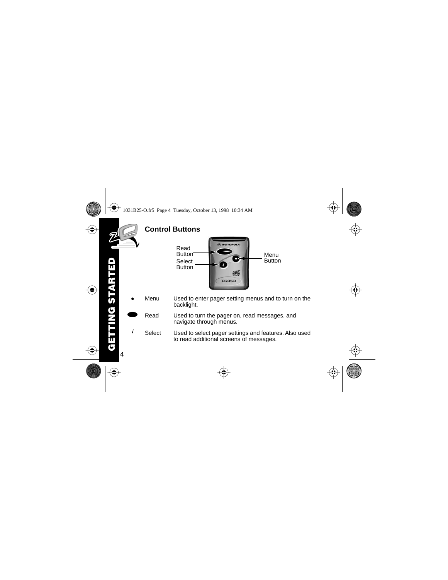<span id="page-5-0"></span>

 $\sqrt{ }$  Select Used to select pager settings and features. Also used to read additional screens of messages.

4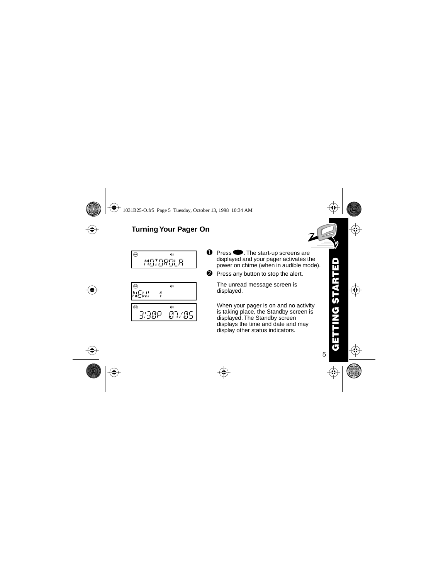# <span id="page-6-0"></span>**Turning Your Pager On**

$$
\begin{array}{c}\n\circ \\
\circ \\
\circ \\
\circ\n\end{array}
$$

m 88 f hjl b e NEW! 1 m 88 f hjl b e 3!30P 07/05

- $\bullet$  Press  $\bullet$ . The start-up screens are displayed and your pager activates the power on chime (when in audible mode).
- **<sup>2</sup>** Press any button to stop the alert.

The unread message screen is displayed.

When your pager is on and no activity is taking place, the Standby screen is displayed. The Standby screen displays the time and date and may display other status indicators.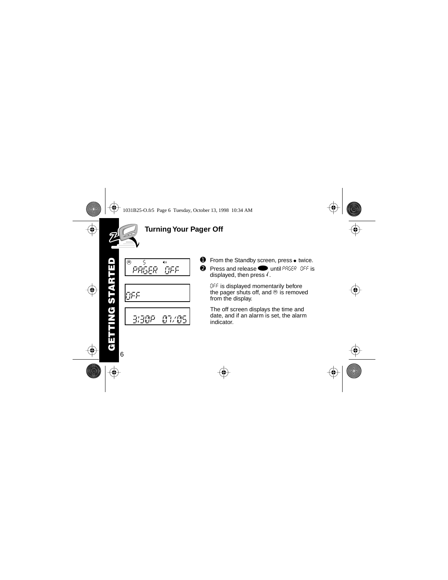<span id="page-7-0"></span>

# **Turning Your Pager Off**



- **O** From the Standby screen, press  $\bullet$  twice.<br>**②** Press and release  $\bullet$  until PR5ER DEE is
- **Press and release in until PAGER OFF is** displayed, then press  $\ell$ .

OFF is displayed momentarily before the pager shuts off, and  $\otimes$  is removed from the display.

The off screen displays the time and date, and if an alarm is set, the alarm indicator.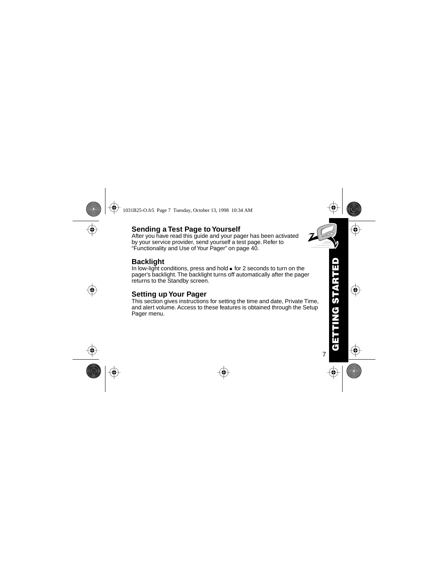# <span id="page-8-0"></span>**Sending a Test Page to Yourself**

After you have read this guide and your pager has been activated by your service provider, send yourself a test page. Refer to "Functionality and Use of Your Pager" on [page 40](#page-41-0).

# **Backlight**

In low-light conditions, press and hold  $\bullet$  for 2 seconds to turn on the pager's backlight. The backlight turns off automatically after the pager returns to the Standby screen.

# **Setting up Your Pager**

This section gives instructions for setting the time and date, Private Time, and alert volume. Access to these features is obtained through the Setup Pager menu.



7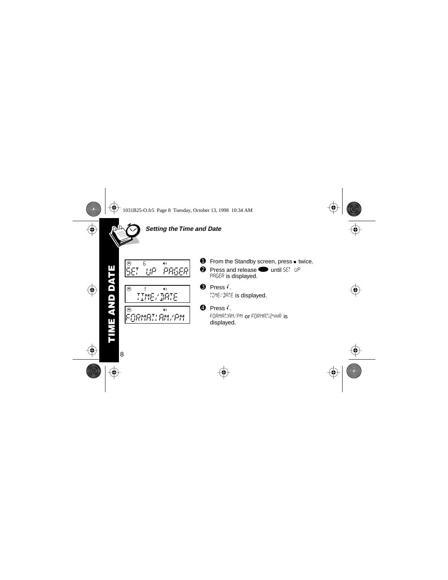<span id="page-9-0"></span>

#### **Setting the Time and Date**



 $TIMF/MRIF$ <u>TIME/DATE</u><br>Times

 $\blacksquare$ 



- **②** Press and release **v** until SET UP PAGER is displayed.
- $\odot$  Press. TIME/DATE is displayed.
- $\bullet$  Press  $\left\langle \right\rangle$

FORMAT!AM/PM or FORMAT!24HR is displayed.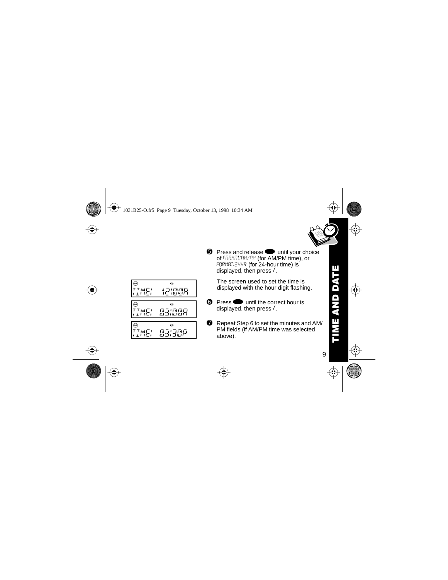9

m 85 f hjl b e TIME! 12!00A m 85 f hjl b e TIME! 03!00A m 85 f hjl b e

<u>TIME = 03.30P</u>

FORMAT!24HR (for 24-hour time) is displayed, then press  $\sqrt{ }$ . The screen used to set the time is

 $\Theta$  Press and release  $\bullet$  until your choice of FORMAT!AM/PM (for AM/PM time), or

displayed with the hour digit flashing.

- $\odot$  Press  $\odot$  until the correct hour is displayed, then press  $\sqrt{ }$ .
- **◯** Repeat Step 6 to set the minutes and AM/ PM fields (if AM/PM time was selected above).

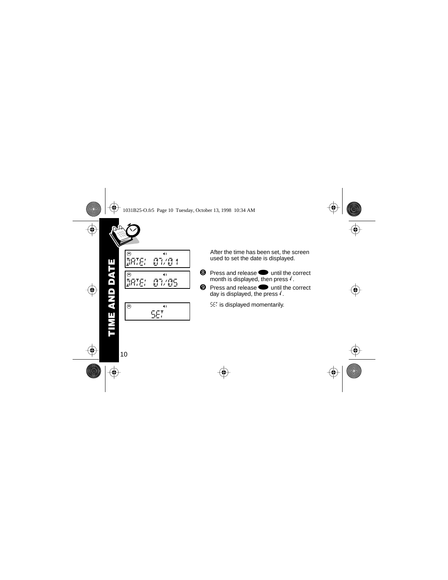



After the time has been set, the screen used to set the date is displayed.

- **<sup>3</sup>** Press and release **a** until the correct month is displayed, then press  $\sqrt{ }$ .
- $\bullet$  Press and release  $\bullet$  until the correct day is displayed, the press  $\sqrt{ }$ .

SET is displayed momentarily.

**TIME AND DATE**

ш

Ë **A**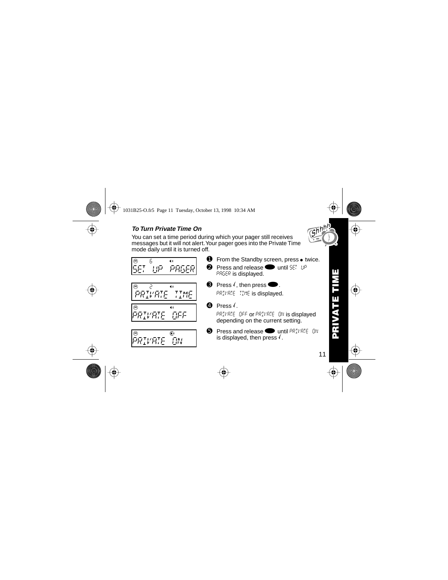## <span id="page-12-0"></span>**To Turn Private Time On**

You can set a time period during which your pager still receives messages but it will not alert. Your pager goes into the Private Time mode daily until it is turned off.

- m *PRGER* SET UP PAGERNATION AND DESCRIPTION
- PRIVAIE IIME
- <u>Private terms in the second second</u><br>Private terms in the second second second second second second second second second second second second second<br>Private terms in the second second second second second second second sec PRIVAIE DEE <u>Private of the Second</u>



- $\bullet$  From the Standby screen, press  $\bullet$  twice.
- **②** Press and release **v** until  $SET$  UP PAGER is displayed.
- $\Theta$  Press  $\left(\right)$ , then press  $\bullet$ . PRIVATE TIME is displayed.
- $\bullet$  Press.

PRIVATE OFF or PRIVATE ON is displayed depending on the current setting.

 $\bullet$  Press and release  $\bullet$  until PRIVATE ON is displayed, then press  $\ell$ .

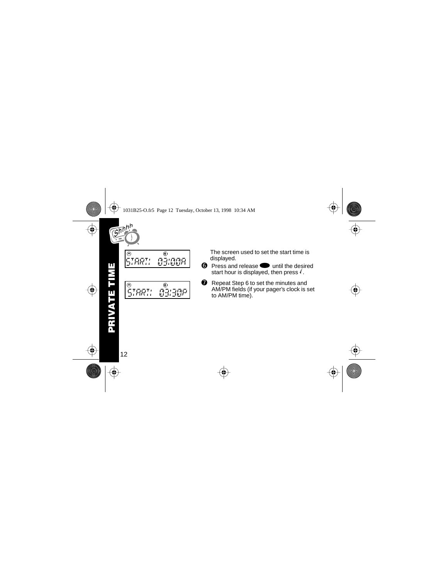



The screen used to set the start time is displayed.

- $\odot$  Press and release  $\odot$  until the desired start hour is displayed, then press  $\sqrt{\cdot}$ .
- **O** Repeat Step 6 to set the minutes and AM/PM fields (if your pager's clock is set to AM/PM time).

EI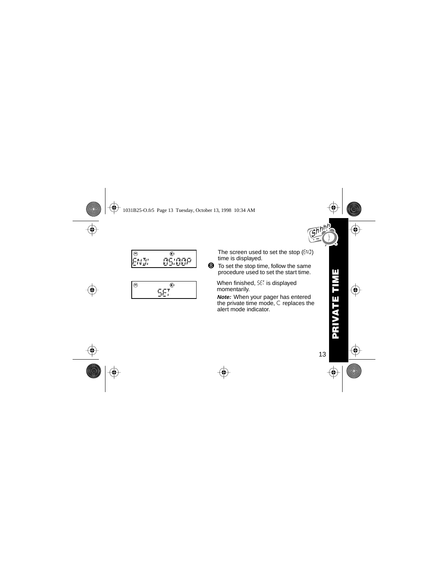



$$
\begin{array}{c}\n\circ \\
\circ \\
\circ \\
\circ\n\end{array}
$$

The screen used to set the stop  $(EW)$ time is displayed.

➑ To set the stop time, follow the same procedure used to set the start time.

When finished, 5ET is displayed momentarily.

**Note:** When your pager has entered the private time mode,  $C$  replaces the alert mode indicator.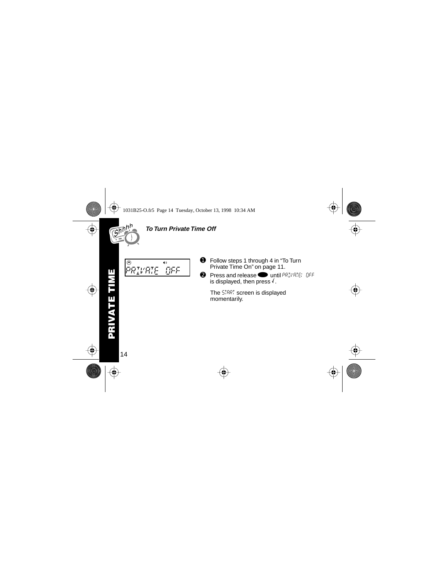<span id="page-15-0"></span>

#### **To Turn Private Time Off**

- PRIVRIE OFF <u>Private of the Second</u>
- **O** Follow steps 1 through 4 in "To Turn" [Private Time On" on page 11](#page-12-0).
- $\bullet$  Press and release  $\bullet$  until PRIVATE! OFF is displayed, then press  $\sqrt{ }$ .

The START screen is displayed momentarily.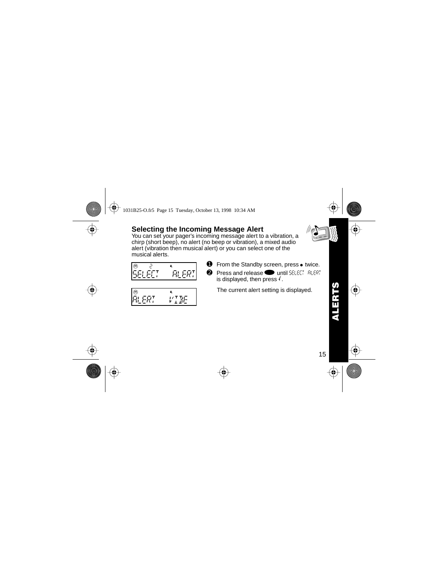# <span id="page-16-0"></span>**Selecting the Incoming Message Alert**

You can set your pager's incoming message alert to a vibration, a chirp (short beep), no alert (no beep or vibration), a mixed audio alert (vibration then musical alert) or you can select one of the musical alerts.

$$
\begin{array}{cc} \circ & \circ \\ \circ & \circ \\ \circ & \circ \\ \circ & \circ \end{array}
$$

$$
\begin{array}{cc} \circ & \ast \\ \hline \text{RLER} & & \text{VIE} \end{array}
$$

- From the Standby screen, press  $\bullet$  twice.
- $\bullet$  Press and release  $\bullet$  until SELECT ALERT is displayed, then press  $\ell$ .

The current alert setting is displayed.

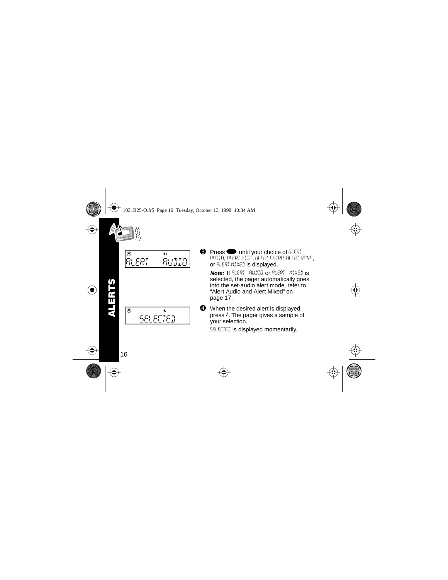<span id="page-17-0"></span>

| 2日1 |  |
|-----|--|
|     |  |

- $\bullet$  Press  $\bullet$  until your choice of  $R$  ERT AUDIO, ALERT VIBE, ALERT CHIRP, ALERT NONE, or ALERT MIXED is displayed.
	- **Note:** If ALERT AUDIO or ALERT MIXED is selected, the pager automatically goes into the set-audio alert mode, refer to ["Alert Audio and Alert Mixed" on](#page-18-0)  [page 17](#page-18-0).
- ➍ When the desired alert is displayed, press  $\sqrt{\ }$ . The pager gives a sample of your selection.

SELECTED is displayed momentarily.

**ALERTS**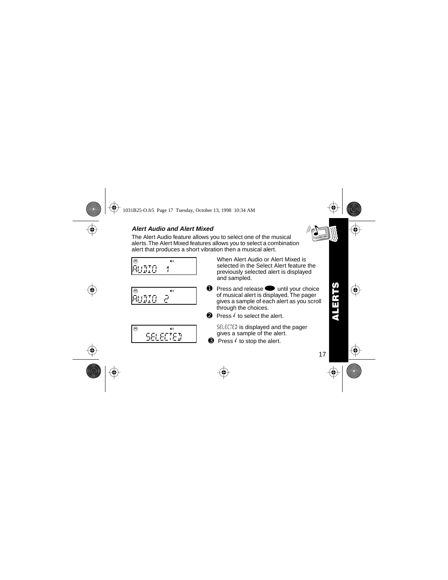#### <span id="page-18-0"></span>**Alert Audio and Alert Mixed**

The Alert Audio feature allows you to select one of the musical alerts. The Alert Mixed features allows you to select a combination alert that produces a short vibration then a musical alert.

m 82 f hjl b e AUDIO 1972 - PARTIE 1972 - PARTIE 1972 - PARTIE 1972 - PARTIE 1972 - PARTIE 1973 - PARTIE 1973 - PARTIE 1973 -

$$
\overset{\circledcirc}{\text{RUMO}}\overset{\bullet}{\text{e}}^{\bullet}
$$

$$
\begin{array}{|c|c|c|}\hline \circ & \bullet & \bullet \\ \hline & \bullet & \bullet & \bullet \\ \hline \end{array}
$$

When Alert Audio or Alert Mixed is selected in the Select Alert feature the previously selected alert is displayed and sampled.

- $\bullet$  Press and release  $\bullet$  until your choice of musical alert is displayed. The pager gives a sample of each alert as you scroll through the choices.
- $\Theta$  Press  $\ell$  to select the alert.
	- SELECTED is displayed and the pager gives a sample of the alert.
- $\Theta$  Press  $\ell$  to stop the alert.

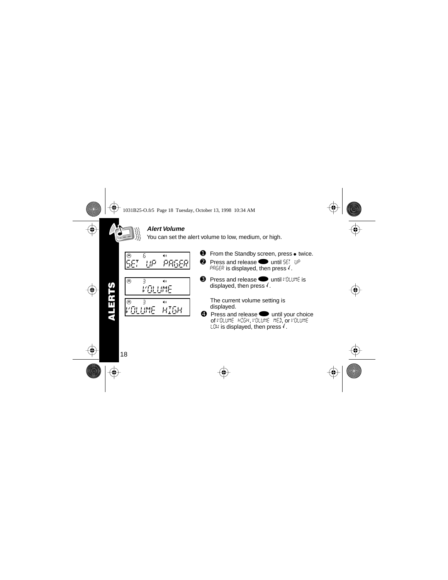#### **Alert Volume**

You can set the alert volume to low, medium, or high.

<span id="page-19-0"></span>
$$
\begin{array}{cc} \circ & \circ \\ \circ & \circ \\ \circ & \circ \end{array}
$$

$$
\begin{array}{c}\n\circledast & \circledast \\
\hline\n\quad \quad VGLLIME \\
\hline\n\circledast & \circledast \\
\hline\n\quad \quad VGLLIME & HISH\n\end{array}
$$

- $\bullet$  From the Standby screen, press  $\bullet$  twice.
- $\bullet$  Press and release  $\bullet$  until SET UP PRGER is displayed, then press  $\sqrt{ }$ .
- **O** Press and release until VOLUME is displayed, then press  $\sqrt{ }$ .

The current volume setting is displayed.

Press and release  $\bullet$  until your choice of VOLUME HIGH, VOLUME MED, or VOLUME LDW is displayed, then press  $\sqrt{ }$ .

**ALERTS**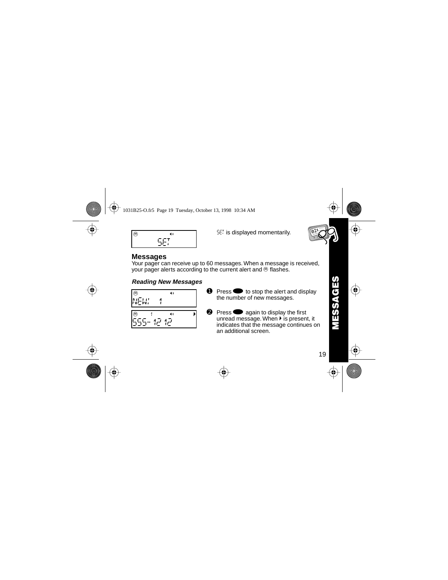<span id="page-20-0"></span>
$$
\circ
$$

SET is displayed momentarily.



#### **Messages** SET

Your pager can receive up to 60 messages. When a message is received, your pager alerts according to the current alert and  $\Theta$  flashes.

#### **Reading New Messages**

|             |   | 40 |  |
|-------------|---|----|--|
| <b>NEW!</b> | л |    |  |

$$
\overline{\mathbb{S}}\mathbb{S}\mathbb{S}^{-1}\mathbb{P}^{-1}\mathbb{P}^{-1}
$$

- $\bullet$  Press  $\bullet$  to stop the alert and display the number of new messages.
- $\bullet$  Press  $\bullet$  again to display the first unread message. When  $\blacktriangleright$  is present, it indicates that the message continues on an additional screen.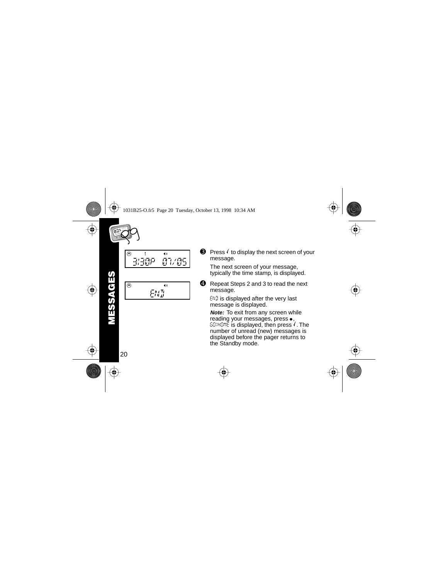<span id="page-21-0"></span>

m 81/05 <u>3333 P 07/05/05/05/05</u>

ጩ  $EMH$ END  $\bigcirc$  Press  $\overline{\smash{}}\hspace{0.1cm}$  to display the next screen of your message.

The next screen of your message, typically the time stamp, is displayed.

**<sup>4</sup>** Repeat Steps 2 and 3 to read the next message.

 $EWJ$  is displayed after the very last message is displayed.

**Note:** To exit from any screen while reading your messages, press  $\bullet$ ,  $60$ )HOME is displayed, then press  $\sqrt{\ }$ . The number of unread (new) messages is displayed before the pager returns to the Standby mode.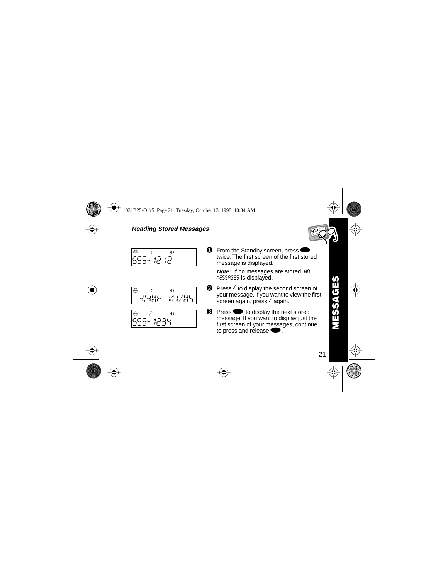#### <span id="page-22-0"></span>**Reading Stored Messages**

$$
\overset{\circledcirc}{\mathsf{555}} \overset{\mathsf{1}}{\mathsf{12}} \overset{\mathsf{2}}{\mathsf{12}}
$$

m 81 f hjl b e 3!30P 07/05

$$
\frac{1}{555 - 1234}
$$

**O** From the Standby screen, press twice. The first screen of the first stored message is displayed.

**Note:** If no messages are stored, NO MESSAGES is displayed.

- $\Theta$  Press  $\ell$  to display the second screen of your message. If you want to view the first  $\frac{1}{2}$  screen again, press  $\ell$  again.
- $\bullet$  Press  $\bullet$  to display the next stored message. If you want to display just the first screen of your messages, continue to press and release  $\bullet$ .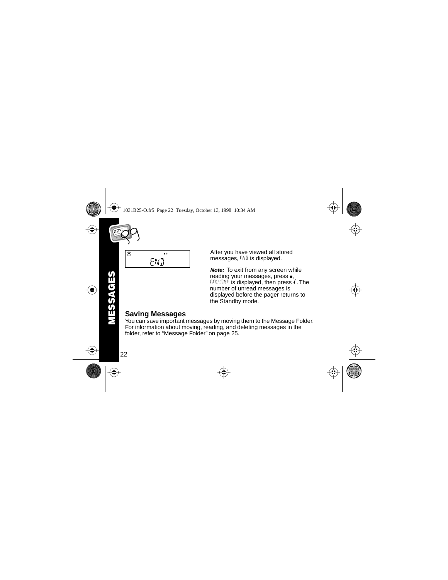<span id="page-23-0"></span>
$$
\frac{1}{\sqrt{\frac{1}{\sqrt{1}}\cdot\frac{1}{\sqrt{1}}}}
$$

After you have viewed all stored messages, END is displayed.

**Note:** To exit from any screen while reading your messages, press $\bullet$ ,  $GOMOME$  is displayed, then press  $\ell$ . The number of unread messages is displayed before the pager returns to the Standby mode.

# **Saving Messages**

You can save important messages by moving them to the Message Folder. For information about moving, reading, and deleting messages in the folder, refer to ["Message Folder" on page 25](#page-26-0).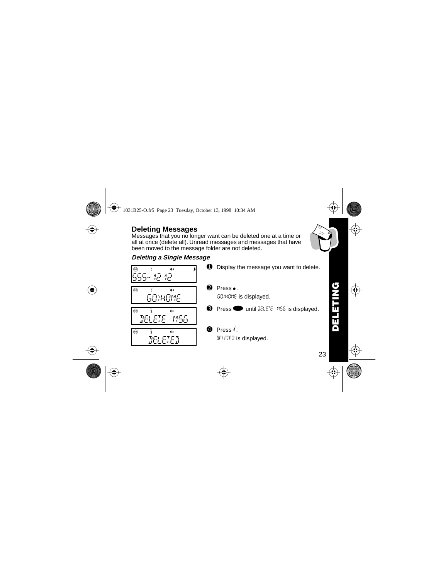**DELETING PALE** 

# <span id="page-24-0"></span>**Deleting Messages**

Messages that you no longer want can be deleted one at a time or all at once (delete all). Unread messages and messages that have been moved to the message folder are not deleted.

# **Deleting a Single Message**



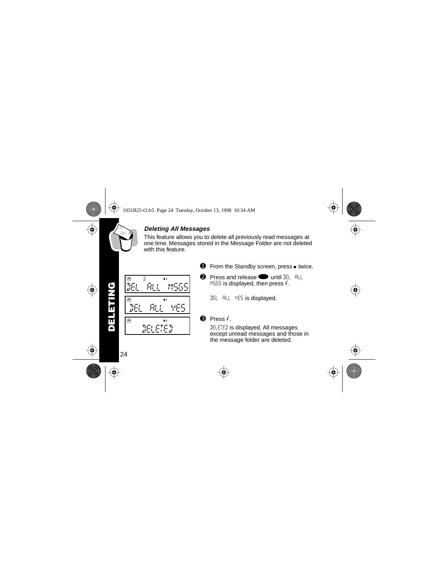<span id="page-25-0"></span>

#### **Deleting All Messages**

This feature allows you to delete all previously read messages at one time. Messages stored in the Message Folder are not deleted with this feature



- $\bullet$  From the Standby screen, press  $\bullet$  twice.
- **②** Press and release **v** until  $\mathbb{E}$   $\mathbb{E}$   $\mathbb{E}$  if MSGS is displayed, then press  $\sqrt{ }$ .
	- DEL RLL YES is displayed.

# $\Theta$  Press  $\epsilon$ .

DELETED is displayed. All messages except unread messages and those in the message folder are deleted.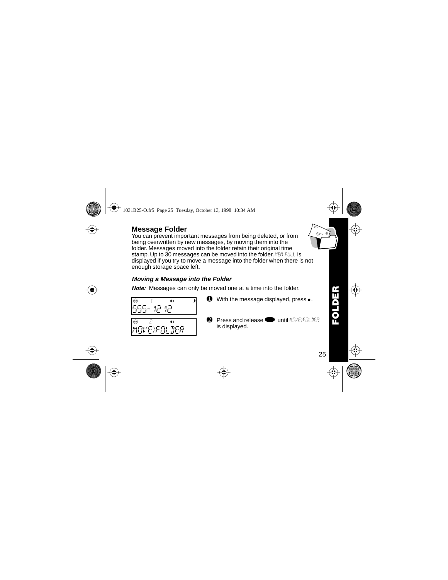# <span id="page-26-0"></span>**Message Folder**

You can prevent important messages from being deleted, or from being overwritten by new messages, by moving them into the folder. Messages moved into the folder retain their original time stamp. Up to 30 messages can be moved into the folder. MEM FULL is displayed if you try to move a message into the folder when there is not enough storage space left.

#### **Moving a Message into the Folder**

**Note:** Messages can only be moved one at a time into the folder.





**2** Press and release until MOVE)FOLDER is displayed.



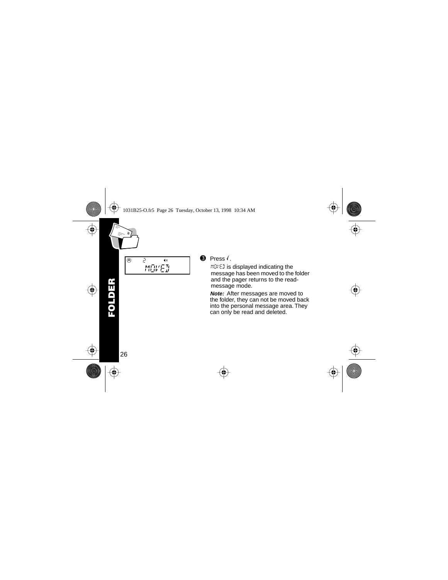<span id="page-27-0"></span>

# $\odot$  Press.

MOVED is displayed indicating the message has been moved to the folder and the pager returns to the readmessage mode.

**Note:** After messages are moved to the folder, they can not be moved back into the personal message area. They can only be read and deleted.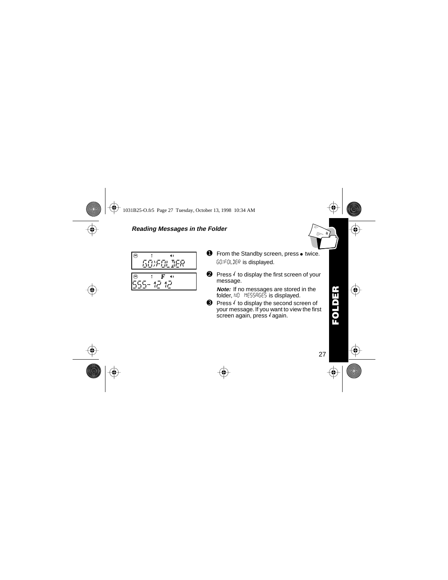#### <span id="page-28-0"></span>**Reading Messages in the Folder**



- $\bullet$  From the Standby screen, press  $\bullet$  twice. GO)FOLDER is displayed.
- $\Theta$  Press  $\theta$  to display the first screen of your message.
	- **Note:** If no messages are stored in the folder, NO MESSAGES is displayed.
- $\Theta$  Press  $\ell$  to display the second screen of your message. If you want to view the first screen again, press  $\ell$  again.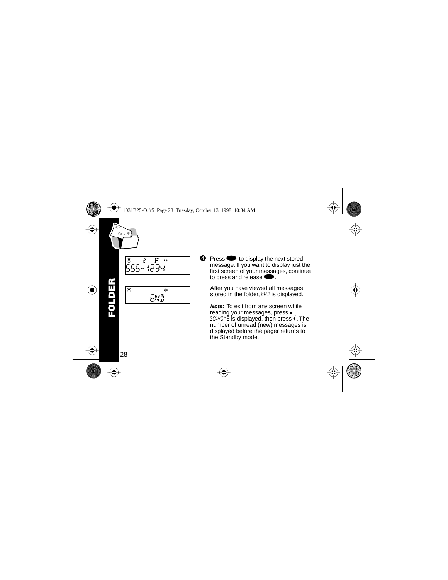<span id="page-29-0"></span>

 $\bullet$  Press  $\bullet$  to display the next stored message. If you want to display just the first screen of your messages, continue to press and release

After you have viewed all messages stored in the folder, END is displayed.

**Note:** To exit from any screen while reading your messages, press $\bullet$ ,  $60$ )HOME is displayed, then press  $\sqrt{\ }$ . The number of unread (new) messages is displayed before the pager returns to the Standby mode.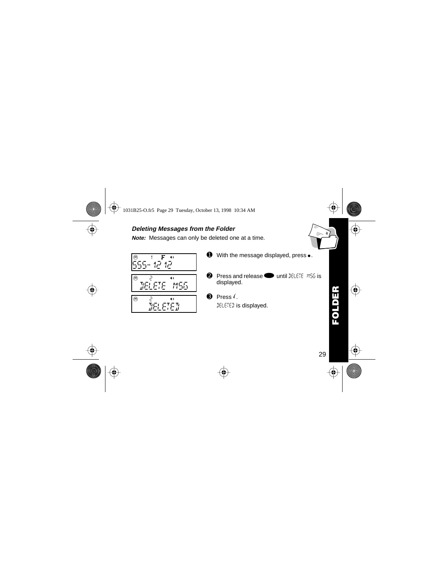#### <span id="page-30-0"></span>**Deleting Messages from the Folder**

**Note:** Messages can only be deleted one at a time.

m 81 f hjl b e

$$
\begin{array}{c}\n\circ \\
\circ \\
\hline\n\text{PELE} \\
\hline\n\end{array}
$$

mei FTF b <u>======</u>

ҭ

| 0 | With the message displayed, press •. |  |
|---|--------------------------------------|--|
|   |                                      |  |

- $\odot$  Press and release  $\odot$  until DELETE MSG is displayed.
- $\Theta$  Press  $\ell$ . DELETED is displayed.

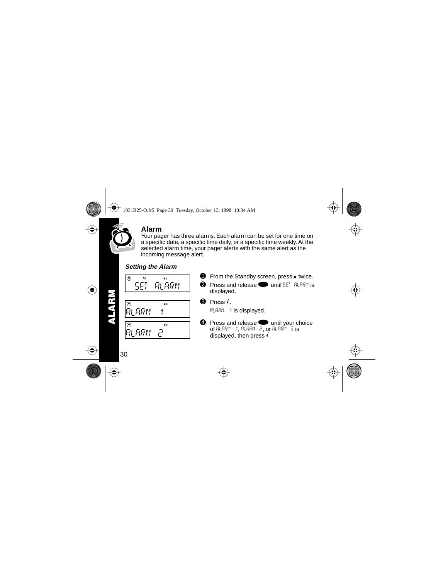<span id="page-31-0"></span>

## **Alarm**

Your pager has three alarms. Each alarm can be set for one time on a specific date, a specific time daily, or a specific time weekly. At the selected alarm time, your pager alerts with the same alert as the incoming message alert.

## **Setting the Alarm**



m 81 f hjl b e ALARM 1 m 81 f hjl b e ALARM 2

- $\bullet$  From the Standby screen, press  $\bullet$  twice.
- $\odot$  Press and release  $\odot$  until SET BLBRM is displayed.
- $\theta$  Press  $\sqrt{ }$

ALARM 1 is displayed.

 $\bullet$  Press and release  $\bullet$  until your choice of ALARM 1, ALARM 2, or ALARM 3 is displayed, then press  $\sqrt{ }$ .

**ALARM**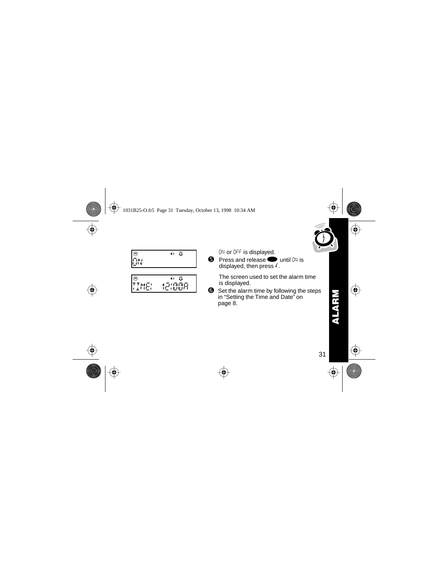

<span id="page-32-0"></span>

|    | ۵<br>40 |
|----|---------|
| ПN |         |
|    |         |

|              | U<br>4 O |
|--------------|----------|
| <b>TIME:</b> | 121008   |
|              |          |

ON or OFF is displayed.

 $\bullet$  Press and release  $\bullet$  until  $\mathbb{J}$  is displayed, then press  $\sqrt{ }$ .

> The screen used to set the alarm time is displayed.

➏ Set the alarm time by following the steps in ["Setting the Time and Date" on](#page-9-0)  [page 8.](#page-9-0)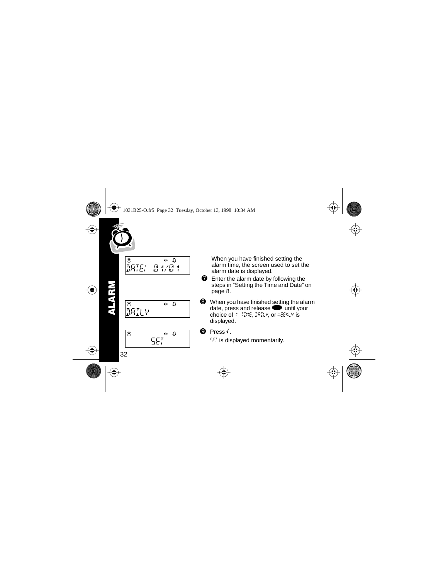<span id="page-33-0"></span>

**ALARM**



When you have finished setting the alarm time, the screen used to set the alarm date is displayed.

- $\bullet$  Enter the alarm date by following the steps in ["Setting the Time and Date" on](#page-9-0)  [page 8.](#page-9-0)
- **<sup>3</sup>** When you have finished setting the alarm date, press and release  $\bullet$  until your choice of 1 TIME, DAILY, or WEEKLY is displayed.

 $\mathbf{\Theta}$  Press  $\mathbf{\Theta}$ 

SET is displayed momentarily.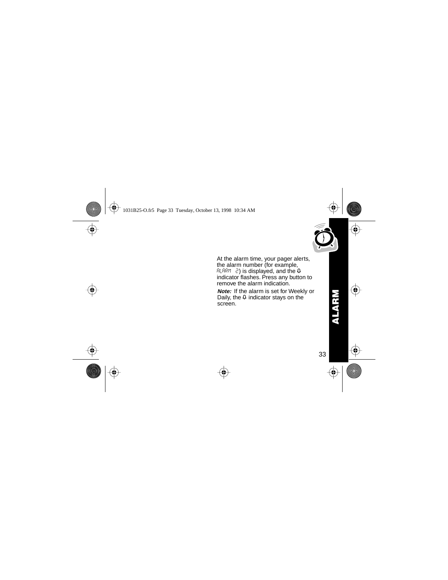

<span id="page-34-0"></span>At the alarm time, your pager alerts, the alarm number (for example,  $ALRM$   $\geq$ ) is displayed, and the  $\Omega$ indicator flashes. Press any button to remove the alarm indication.

**Note:** If the alarm is set for Weekly or Daily, the  $\theta$  indicator stays on the screen.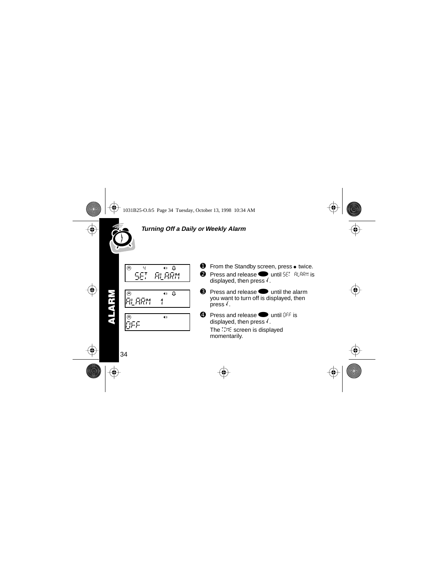<span id="page-35-0"></span>

#### **Turning Off a Daily or Weekly Alarm**

$$
\begin{array}{|c|c|c|}\n\hline\n\circ & \circ & \circ & \circ \\
\hline\n\text{SET} & \text{RLRRM}\n\end{array}
$$

$$
\begin{array}{c}\n\circ \\
\hline\n\text{R}.\text{ARM} & 1\n\end{array}
$$

$$
\begin{array}{c}\n\circ \\
\circ \\
\circ \\
\circ \\
\circ\n\end{array}
$$

- $\bullet$  From the Standby screen, press  $\bullet$  twice.
- $\Omega$  Press and release until SET ALARM is displayed, then press  $\sqrt{\cdot}$ .
- $\Theta$  Press and release  $\bullet$  until the alarm you want to turn off is displayed, then  $pres<sub>1</sub>$
- $\bullet$  Press and release  $\bullet$  until FFF is displayed, then press  $\sqrt{\cdot}$ .

The TIME screen is displayed momentarily.

**ALARM**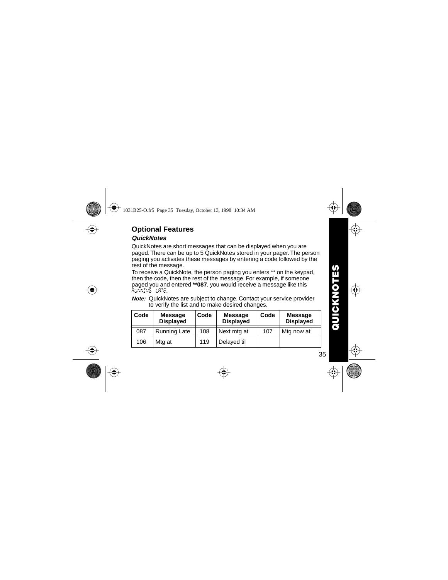# <span id="page-36-0"></span>**Optional Features**

## **QuickNotes**

QuickNotes are short messages that can be displayed when you are paged. There can be up to 5 QuickNotes stored in your pager. The person paging you activates these messages by entering a code followed by the rest of the message.

To receive a QuickNote, the person paging you enters \*\* on the keypad, then the code, then the rest of the message. For example, if someone paged you and entered **\*\*087**, you would receive a message like this RUNNING LATE.

**Note:** QuickNotes are subject to change. Contact your service provider to verify the list and to make desired changes.

| ∣ Code | <b>Message</b><br><b>Displayed</b> | Code | <b>Message</b><br><b>Displayed</b> | <b>Code</b> | Message<br><b>Displayed</b> |
|--------|------------------------------------|------|------------------------------------|-------------|-----------------------------|
| 087    | <b>Running Late</b>                | 108  | Next mtg at                        | 107         | Mtg now at                  |
| 106    | Mtg at                             | 119  | Delayed til                        |             |                             |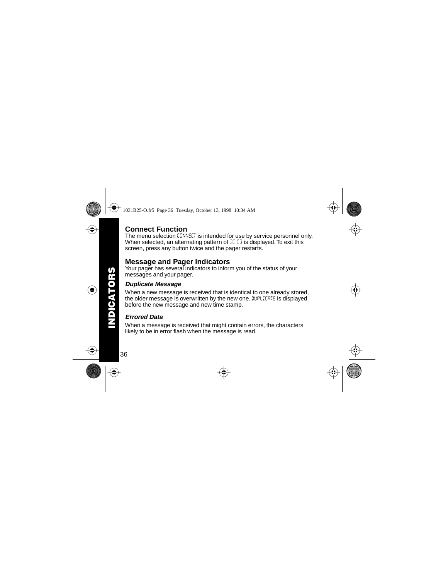## <span id="page-37-0"></span>**Connect Function**

The menu selection  $L^{BNNE}L^{T}$  is intended for use by service personnel only. When selected, an alternating pattern of  $\mathbb{E} \mathbb{C}$  is displayed. To exit this screen, press any button twice and the pager restarts.

# **Message and Pager Indicators**

Your pager has several indicators to inform you of the status of your messages and your pager.

#### **Duplicate Message**

When a new message is received that is identical to one already stored, the older message is overwritten by the new one.  $\mathbb{R}^{p}$ LICATE is displayed before the new message and new time stamp.

#### **Errored Data**

When a message is received that might contain errors, the characters likely to be in error flash when the message is read.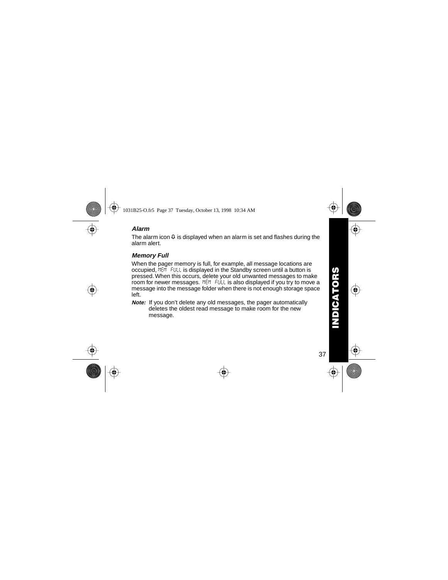#### <span id="page-38-0"></span>**Alarm**

The alarm icon  $\Omega$  is displayed when an alarm is set and flashes during the alarm alert.

#### **Memory Full**

When the pager memory is full, for example, all message locations are occupied, MEM FULL is displayed in the Standby screen until a button is pressed. When this occurs, delete your old unwanted messages to make room for newer messages. MEM FULL is also displayed if you try to move a message into the message folder when there is not enough storage space left.

**Note:** If you don't delete any old messages, the pager automatically deletes the oldest read message to make room for the new message.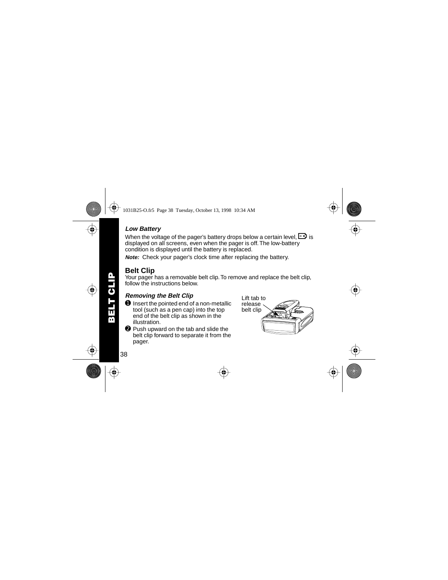# **BELT CLIP BELT CLIP**

#### <span id="page-39-0"></span>**Low Battery**

When the voltage of the pager's battery drops below a certain level,  $\Box$  is displayed on all screens, even when the pager is off. The low-battery condition is displayed until the battery is replaced.

**Note:** Check your pager's clock time after replacing the battery.

# **Belt Clip**

Your pager has a removable belt clip. To remove and replace the belt clip, follow the instructions below.

#### **Removing the Belt Clip**

- $\bullet$  Insert the pointed end of a non-metallic tool (such as a pen cap) into the top end of the belt clip as shown in the illustration.
- ➋ Push upward on the tab and slide the belt clip forward to separate it from the pager.

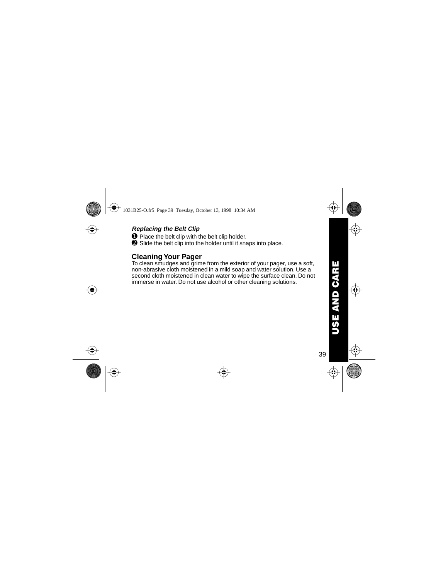# USE AND CARE **USE AND CARE**

#### <span id="page-40-0"></span>**Replacing the Belt Clip**

**O** Place the belt clip with the belt clip holder.

**<sup>●</sup>** Slide the belt clip into the holder until it snaps into place.

# **Cleaning Your Pager**

To clean smudges and grime from the exterior of your pager, use a soft, non-abrasive cloth moistened in a mild soap and water solution. Use a second cloth moistened in clean water to wipe the surface clean. Do not immerse in water. Do not use alcohol or other cleaning solutions.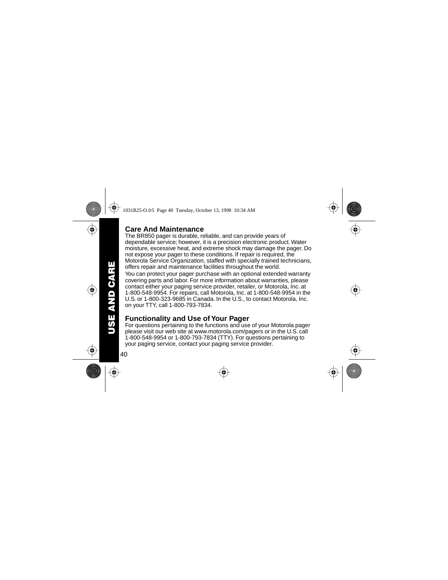# <span id="page-41-0"></span>**Care And Maintenance**

The BR850 pager is durable, reliable, and can provide years of dependable service; however, it is a precision electronic product. Water moisture, excessive heat, and extreme shock may damage the pager. Do not expose your pager to these conditions. If repair is required, the Motorola Service Organization, staffed with specially trained technicians, offers repair and maintenance facilities throughout the world.

You can protect your pager purchase with an optional extended warranty covering parts and labor. For more information about warranties, please contact either your paging service provider, retailer, or Motorola, Inc. at 1-800-548-9954. For repairs, call Motorola, Inc. at 1-800-548-9954 in the U.S. or 1-800-323-9685 in Canada. In the U.S., to contact Motorola, Inc. on your TTY, call 1-800-793-7834.

# **Functionality and Use of Your Pager**

For questions pertaining to the functions and use of your Motorola pager please visit our web site at www.motorola.com/pagers or in the U.S. call 1-800-548-9954 or 1-800-793-7834 (TTY). For questions pertaining to your paging service, contact your paging service provider.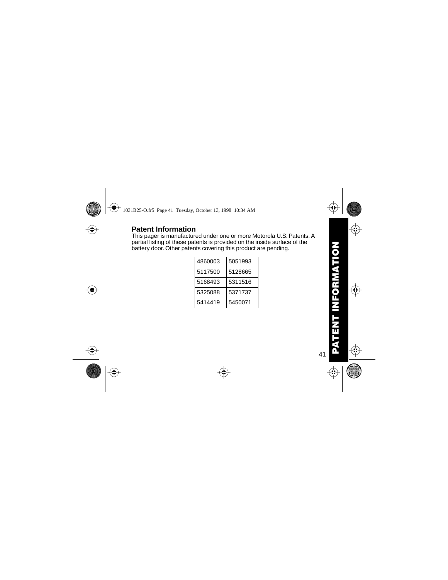# <span id="page-42-0"></span>**Patent Information**

This pager is manufactured under one or more Motorola U.S. Patents. A partial listing of these patents is provided on the inside surface of the battery door. Other patents covering this product are pending.

| 4860003 | 5051993 |
|---------|---------|
| 5117500 | 5128665 |
| 5168493 | 5311516 |
| 5325088 | 5371737 |
| 5414419 | 5450071 |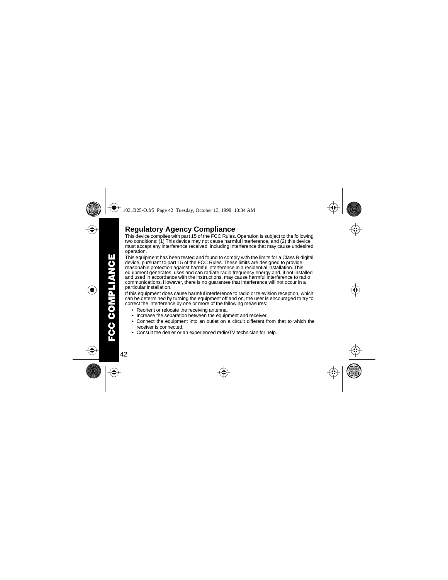# <span id="page-43-0"></span>**Regulatory Agency Compliance**

This device complies with part 15 of the FCC Rules. Operation is subject to the following two conditions: (1) This device may not cause harmful interference, and (2) this device must accept any interference received, including interference that may cause undesired operation.

This equipment has been tested and found to comply with the limits for a Class B digital device, pursuant to part 15 of the FCC Rules. These limits are designed to provide reasonable protection against harmful interference in a residential installation. This equipment generates, uses and can radiate radio frequency energy and, if not installed and used in accordance with the instructions, may cause harmful interference to radio communications. However, there is no guarantee that interference will not occur in a particular installation.

If this equipment does cause harmful interference to radio or television reception, which can be determined by turning the equipment off and on, the user is encouraged to try to correct the interference by one or more of the following measures:

- Reorient or relocate the receiving antenna.
- Increase the separation between the equipment and receiver.
- Connect the equipment into an outlet on a circuit different from that to which the receiver is connected.
- Consult the dealer or an experienced radio/TV technician for help.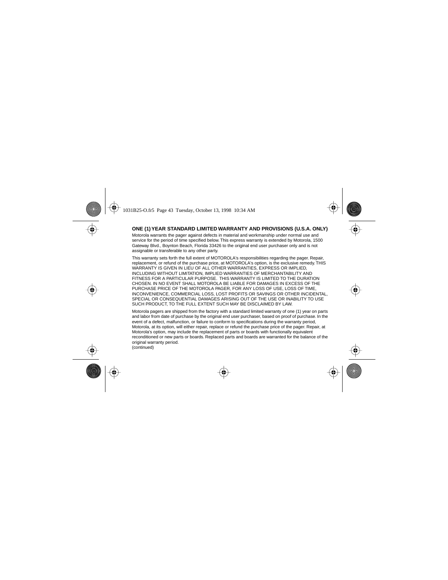#### **ONE (1) YEAR STANDARD LIMITED WARRANTY AND PROVISIONS (U.S.A. ONLY)**

Motorola warrants the pager against defects in material and workmanship under normal use and service for the period of time specified below. This express warranty is extended by Motorola, 1500 Gateway Blvd., Boynton Beach, Florida 33426 to the original end user purchaser only and is not assignable or transferable to any other party.

This warranty sets forth the full extent of MOTOROLA's responsibilities regarding the pager. Repair, replacement, or refund of the purchase price, at MOTOROLA's option, is the exclusive remedy. THIS WARRANTY IS GIVEN IN LIEU OF ALL OTHER WARRANTIES, EXPRESS OR IMPLIED, INCLUDING WITHOUT LIMITATION, IMPLIED WARRANTIES OF MERCHANTABILITY AND FITNESS FOR A PARTICULAR PURPOSE. THIS WARRANTY IS LIMITED TO THE DURATION CHOSEN. IN NO EVENT SHALL MOTOROLA BE LIABLE FOR DAMAGES IN EXCESS OF THE PURCHASE PRICE OF THE MOTOROLA PAGER, FOR ANY LOSS OF USE, LOSS OF TIME, INCONVENIENCE, COMMERCIAL LOSS, LOST PROFITS OR SAVINGS OR OTHER INCIDENTAL, SPECIAL OR CONSEQUENTIAL DAMAGES ARISING OUT OF THE USE OR INABILITY TO USE SUCH PRODUCT, TO THE FULL EXTENT SUCH MAY BE DISCLAIMED BY LAW.

Motorola pagers are shipped from the factory with a standard limited warranty of one (1) year on parts and labor from date of purchase by the original end user purchaser, based on proof of purchase. In the event of a defect, malfunction, or failure to conform to specifications during the warranty period, Motorola, at its option, will either repair, replace or refund the purchase price of the pager. Repair, at Motorola's option, may include the replacement of parts or boards with functionally equivalent reconditioned or new parts or boards. Replaced parts and boards are warranted for the balance of the original warranty period.

(continued)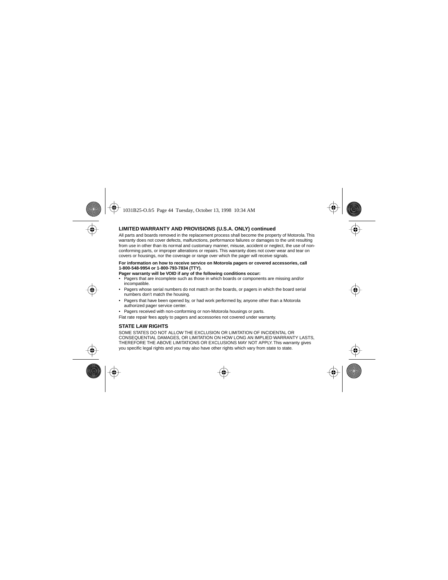#### **LIMITED WARRANTY AND PROVISIONS (U.S.A. ONLY) continued**

All parts and boards removed in the replacement process shall become the property of Motorola. This warranty does not cover defects, malfunctions, performance failures or damages to the unit resulting from use in other than its normal and customary manner, misuse, accident or neglect, the use of nonconforming parts, or improper alterations or repairs. This warranty does not cover wear and tear on covers or housings, nor the coverage or range over which the pager will receive signals.

#### **For information on how to receive service on Motorola pagers or covered accessories, call 1-800-548-9954 or 1-800-793-7834 (TTY).**

**Pager warranty will be VOID if any of the following conditions occur:**

- Pagers that are incomplete such as those in which boards or components are missing and/or incompatible.
- Pagers whose serial numbers do not match on the boards, or pagers in which the board serial numbers don't match the housing.
- Pagers that have been opened by, or had work performed by, anyone other than a Motorola authorized pager service center.
- Pagers received with non-conforming or non-Motorola housings or parts.

Flat rate repair fees apply to pagers and accessories not covered under warranty.

#### **STATE LAW RIGHTS**

SOME STATES DO NOT ALLOW THE EXCLUSION OR LIMITATION OF INCIDENTAL OR CONSEQUENTIAL DAMAGES, OR LIMITATION ON HOW LONG AN IMPLIED WARRANTY LASTS, THEREFORE THE ABOVE LIMITATIONS OR EXCLUSIONS MAY NOT APPLY. This warranty gives you specific legal rights and you may also have other rights which vary from state to state.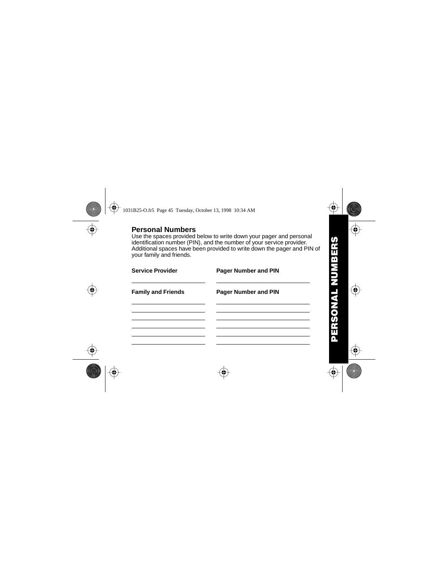<span id="page-46-0"></span>**Personal Numbers** Use the spaces provided below to write down your pager and personal

identification number (PIN), and the number of your service provider. Additional spaces have been provided to write down the pager and PIN of your family and friends.

| <b>Service Provider</b>   | <b>Pager Number and PIN</b> |
|---------------------------|-----------------------------|
| <b>Family and Friends</b> | <b>Pager Number and PIN</b> |
|                           |                             |
|                           |                             |
|                           |                             |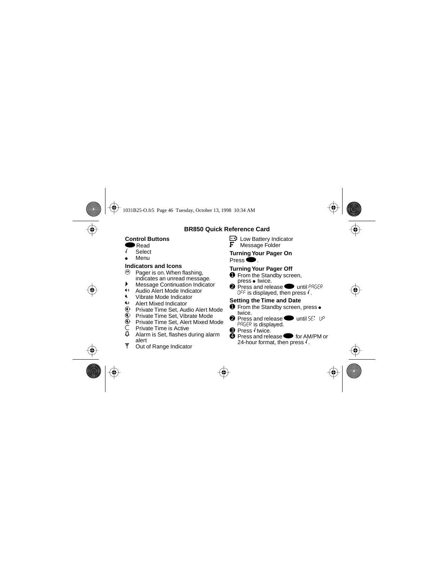#### **BR850 Quick Reference Card**

#### **Control Buttons**

- Read
- **Select**
- Menu

# **Indicators and Icons**

- $\mathfrak{G}$  Pager is on. When flashing, indicates an unread message.
- ▶ Message Continuation Indicator
- **1** Audio Alert Mode Indicator
- Vibrate Mode Indicator
- **W** Alert Mixed Indicator
- $\mathbb{Q}$  Private Time Set, Audio Alert Mode<br> $\mathbb{Q}$  Private Time Set. Vibrate Mode
- **i.** Private Time Set, Vibrate Mode<br> **i.** Private Time Set, Alert Mixed M
- g Private Time Set, Alert Mixed Mode
- $\begin{matrix} \n\mathsf{C} \\
\mathsf{Q} \\
\mathsf{A} \\
\mathsf{A} \\
\mathsf{A} \\
\mathsf{A} \\
\mathsf{B} \\
\mathsf{B} \\
\mathsf{B} \\
\mathsf{B} \\
\mathsf{B} \\
\mathsf{B} \\
\mathsf{B} \\
\mathsf{B} \\
\mathsf{B} \\
\mathsf{B} \\
\mathsf{B} \\
\mathsf{B} \\
\mathsf{B} \\
\mathsf{B} \\
\mathsf{B} \\
\mathsf{B} \\
\mathsf{B} \\
\mathsf{B} \\
\mathsf{B} \\
\mathsf{B} \\
\mathsf{B} \\
\mathsf{B} \\
\mathsf{B} \\
\mathsf{B} \\
\mathsf$
- l Alarm is Set, flashes during alarm alert
- **Y** Out of Range Indicator

 $\mathbf{F}$  Low Battery Indicator<br> $\mathbf{F}$  Message Folder Message Folder

#### **Turning Your Pager On** Press $\bullet$ .

# **Turning Your Pager Off**

- **O** From the Standby screen,  $pres \bullet twice.$
- **<sup>2</sup>** Press and release **v** until PAGER  $OFF$  is displayed, then press  $\ell$ .

# **Setting the Time and Date**

- **O** From the Standby screen, press  $\bullet$ twice.
- $\bullet$  Press and release **v** until SET UP PAGER is displayed.
- $\Theta$  Press  $\ell$  twice.
- **<sup>4</sup>** Press and release **the for AM/PM or** 24-hour format, then press  $\sqrt{ }$ .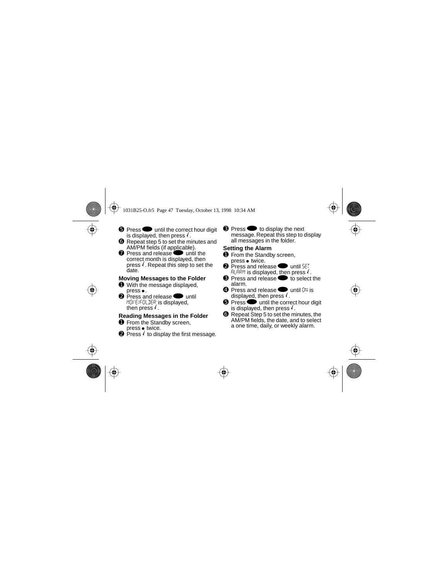- **O** Press until the correct hour digit is displayed, then press  $\sqrt{ }$ .
- ➏ Repeat step 5 to set the minutes and AM/PM fields (if applicable).
- **O** Press and release **P** until the correct month is displayed, then press  $\sqrt{ }$ . Repeat this step to set the date.

#### **Moving Messages to the Folder**

- ➊ With the message displayed,  $press \bullet$ .
- $\bullet$  Press and release  $\bullet$  until MOVE)FOLDER is displayed, then press  $\sqrt{ }$ .

#### **Reading Messages in the Folder**

- ➊ From the Standby screen,  $pres \bullet$  twice.
- $\bullet$  Press  $\prime$  to display the first message.

**❸** Press ● to display the next message. Repeat this step to display all messages in the folder.

#### **Setting the Alarm**

- **O** From the Standby screen,  $pres \bullet twice.$
- $\bullet$  Press and release  $\bullet$  until SET  $A$ LARM is displayed, then press  $\sqrt{ }$ .
- **8** Press and release **the select the** alarm.
- $\bullet$  Press and release  $\bullet$  until ON is displayed, then press  $\sqrt{ }$ .
- $\Theta$  Press  $\bullet$  until the correct hour digit is displayed, then press  $\sqrt{ }$ .
- ➏ Repeat Step 5 to set the minutes, the AM/PM fields, the date, and to select a one time, daily, or weekly alarm.